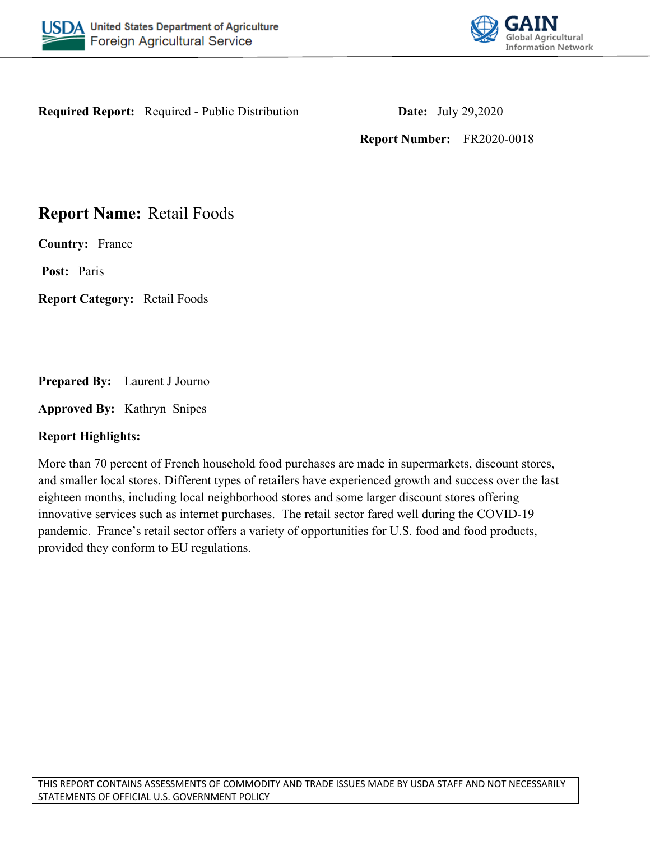



**Required Report:** Required - Public Distribution **Date:** July 29,2020

**Report Number:** FR2020-0018

# **Report Name:** Retail Foods

**Country:** France

**Post:** Paris

**Report Category:** Retail Foods

**Prepared By:** Laurent J Journo

**Approved By:** Kathryn Snipes

## **Report Highlights:**

More than 70 percent of French household food purchases are made in supermarkets, discount stores, and smaller local stores. Different types of retailers have experienced growth and success over the last eighteen months, including local neighborhood stores and some larger discount stores offering innovative services such as internet purchases. The retail sector fared well during the COVID-19 pandemic. France's retail sector offers a variety of opportunities for U.S. food and food products, provided they conform to EU regulations.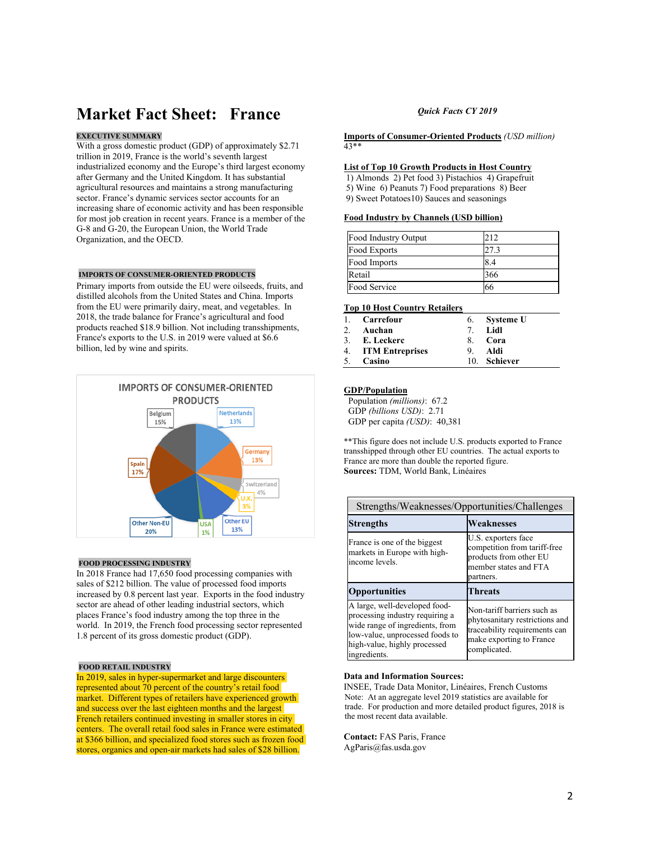# **Market Fact Sheet: France**

### **EXECUTIVE SUMMARY**

With a gross domestic product (GDP) of approximately \$2.71 trillion in 2019, France is the world's seventh largest industrialized economy and the Europe's third largest economy after Germany and the United Kingdom. It has substantial agricultural resources and maintains a strong manufacturing sector. France's dynamic services sector accounts for an increasing share of economic activity and has been responsible for most job creation in recent years. France is a member of the G-8 and G-20, the European Union, the World Trade Organization, and the OECD.

#### **IMPORTS OF CONSUMER-ORIENTED PRODUCTS**

Primary imports from outside the EU were oilseeds, fruits, and distilled alcohols from the United States and China. Imports from the EU were primarily dairy, meat, and vegetables.  In 2018, the trade balance for France's agricultural and food products reached \$18.9 billion. Not including transshipments, France's exports to the U.S. in 2019 were valued at \$6.6 billion, led by wine and spirits.



#### **FOOD PROCESSING INDUSTRY**

In 2018 France had 17,650 food processing companies with sales of \$212 billion. The value of processed food imports increased by 0.8 percent last year. Exports in the food industry sector are ahead of other leading industrial sectors, which places France's food industry among the top three in the world. In 2019, the French food processing sector represented 1.8 percent of its gross domestic product (GDP).

#### **FOOD RETAIL INDUSTRY**

In 2019, sales in hyper-supermarket and large discounters represented about 70 percent of the country's retail food market. Different types of retailers have experienced growth and success over the last eighteen months and the largest French retailers continued investing in smaller stores in city centers. The overall retail food sales in France were estimated at \$366 billion, and specialized food stores such as frozen food stores, organics and open-air markets had sales of \$28 billion.

### *Quick Facts CY 2019*

**Imports of Consumer-Oriented Products** *(USD million)* 43\*\*

#### **List of Top 10 Growth Products in Host Country**

1) Almonds 2) Pet food 3) Pistachios 4) Grapefruit

5) Wine 6) Peanuts 7) Food preparations 8) Beer

9) Sweet Potatoes10) Sauces and seasonings

### **Food Industry by Channels (USD billion)**

| Food Industry Output | 212  |
|----------------------|------|
| Food Exports         | 27.3 |
| Food Imports         | 8.4  |
| Retail               | 366  |
| Food Service         | 66   |

#### **Top 10 Host Country Retailers**

|    | 1. Carrefour       |    | 6. Systeme U |
|----|--------------------|----|--------------|
| 2. | Auchan             | 7  | - Lidl       |
|    | 3. E. Leckerc      | 8. | - Cora       |
|    | 4. ITM Entreprises | 9. | Aldi         |
| 5. | Casino             |    | 10. Schiever |

### **GDP/Population**

 Population *(millions)*: 67.2 GDP *(billions USD)*: 2.71 GDP per capita *(USD)*: 40,381

\*\*This figure does not include U.S. products exported to France transshipped through other EU countries. The actual exports to France are more than double the reported figure. **Sources:** TDM, World Bank, Linéaires

| Strengths/Weaknesses/Opportunities/Challenges                                                                                                                                          |                                                                                                                                            |  |  |  |
|----------------------------------------------------------------------------------------------------------------------------------------------------------------------------------------|--------------------------------------------------------------------------------------------------------------------------------------------|--|--|--|
| <b>Strengths</b>                                                                                                                                                                       | <b>Weaknesses</b>                                                                                                                          |  |  |  |
| France is one of the biggest<br>markets in Europe with high-<br>income levels.                                                                                                         | U.S. exporters face<br>competition from tariff-free<br>products from other EU<br>member states and FTA<br>partners.                        |  |  |  |
| <b>Opportunities</b>                                                                                                                                                                   | <b>Threats</b>                                                                                                                             |  |  |  |
| A large, well-developed food-<br>processing industry requiring a<br>wide range of ingredients, from<br>low-value, unprocessed foods to<br>high-value, highly processed<br>ingredients. | Non-tariff barriers such as<br>phytosanitary restrictions and<br>traceability requirements can<br>make exporting to France<br>complicated. |  |  |  |

### **Data and Information Sources:**

INSEE, Trade Data Monitor, Linéaires, French Customs Note: At an aggregate level 2019 statistics are available for trade. For production and more detailed product figures, 2018 is the most recent data available.

**Contact:** FAS Paris, France AgParis@fas.usda.gov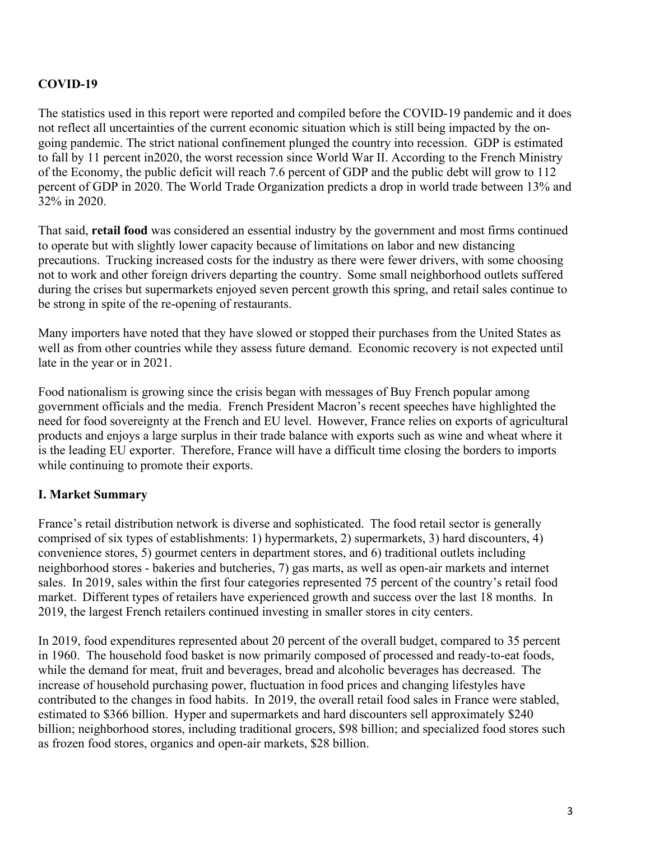## **COVID-19**

The statistics used in this report were reported and compiled before the COVID-19 pandemic and it does not reflect all uncertainties of the current economic situation which is still being impacted by the ongoing pandemic. The strict national confinement plunged the country into recession. GDP is estimated to fall by 11 percent in2020, the worst recession since World War II. According to the French Ministry of the Economy, the public deficit will reach 7.6 percent of GDP and the public debt will grow to 112 percent of GDP in 2020. The World Trade Organization predicts a drop in world trade between 13% and 32% in 2020. 

That said, **retail food** was considered an essential industry by the government and most firms continued to operate but with slightly lower capacity because of limitations on labor and new distancing precautions.  Trucking increased costs for the industry as there were fewer drivers, with some choosing not to work and other foreign drivers departing the country.  Some small neighborhood outlets suffered during the crises but supermarkets enjoyed seven percent growth this spring, and retail sales continue to be strong in spite of the re-opening of restaurants.

Many importers have noted that they have slowed or stopped their purchases from the United States as well as from other countries while they assess future demand.  Economic recovery is not expected until late in the year or in 2021.  

Food nationalism is growing since the crisis began with messages of Buy French popular among government officials and the media. French President Macron's recent speeches have highlighted the need for food sovereignty at the French and EU level.  However, France relies on exports of agricultural products and enjoys a large surplus in their trade balance with exports such as wine and wheat where it is the leading EU exporter.  Therefore, France will have a difficult time closing the borders to imports while continuing to promote their exports.  

## **I. Market Summary**

France's retail distribution network is diverse and sophisticated.  The food retail sector is generally comprised of six types of establishments: 1) hypermarkets, 2) supermarkets, 3) hard discounters, 4) convenience stores, 5) gourmet centers in department stores, and 6) traditional outlets including neighborhood stores - bakeries and butcheries, 7) gas marts, as well as open-air markets and internet sales.  In 2019, sales within the first four categories represented 75 percent of the country's retail food market.  Different types of retailers have experienced growth and success over the last 18 months.  In 2019, the largest French retailers continued investing in smaller stores in city centers.

In 2019, food expenditures represented about 20 percent of the overall budget, compared to 35 percent in 1960. The household food basket is now primarily composed of processed and ready-to-eat foods, while the demand for meat, fruit and beverages, bread and alcoholic beverages has decreased.  The increase of household purchasing power, fluctuation in food prices and changing lifestyles have contributed to the changes in food habits.  In 2019, the overall retail food sales in France were stabled, estimated to \$366 billion.  Hyper and supermarkets and hard discounters sell approximately \$240 billion; neighborhood stores, including traditional grocers, \$98 billion; and specialized food stores such as frozen food stores, organics and open-air markets, \$28 billion.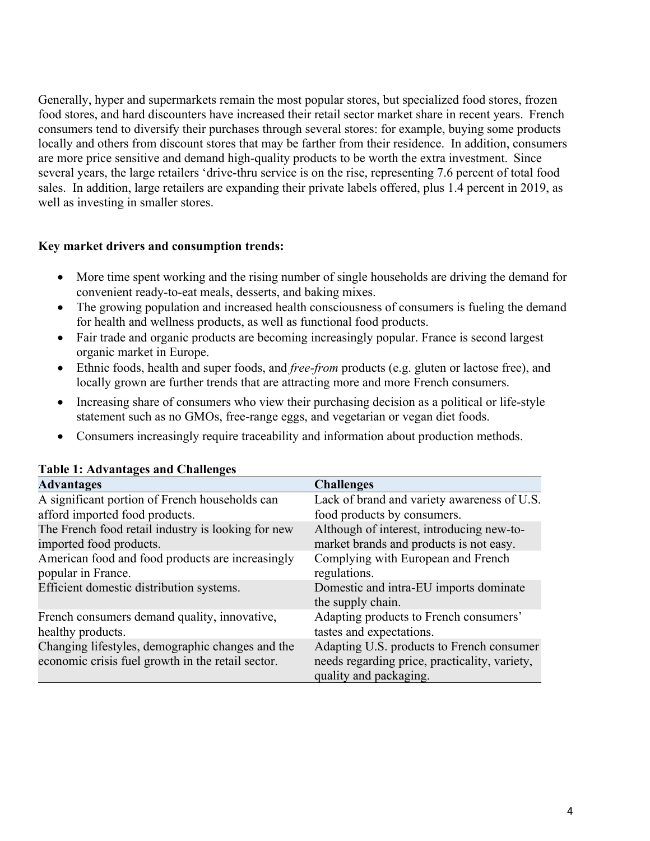Generally, hyper and supermarkets remain the most popular stores, but specialized food stores, frozen food stores, and hard discounters have increased their retail sector market share in recent years.  French consumers tend to diversify their purchases through several stores: for example, buying some products locally and others from discount stores that may be farther from their residence. In addition, consumers are more price sensitive and demand high-quality products to be worth the extra investment.  Since several years, the large retailers 'drive-thru service is on the rise, representing 7.6 percent of total food sales. In addition, large retailers are expanding their private labels offered, plus 1.4 percent in 2019, as well as investing in smaller stores.

## **Key market drivers and consumption trends:**

- More time spent working and the rising number of single households are driving the demand for convenient ready-to-eat meals, desserts, and baking mixes.
- The growing population and increased health consciousness of consumers is fueling the demand for health and wellness products, as well as functional food products.
- Fair trade and organic products are becoming increasingly popular. France is second largest organic market in Europe.
- Ethnic foods, health and super foods, and *free-from* products (e.g. gluten or lactose free), and locally grown are further trends that are attracting more and more French consumers.
- Increasing share of consumers who view their purchasing decision as a political or life-style statement such as no GMOs, free-range eggs, and vegetarian or vegan diet foods.
- Consumers increasingly require traceability and information about production methods.

| Table 1, Au valitates and Chanentes                                                                   |                                                                                                                      |
|-------------------------------------------------------------------------------------------------------|----------------------------------------------------------------------------------------------------------------------|
| <b>Advantages</b>                                                                                     | <b>Challenges</b>                                                                                                    |
| A significant portion of French households can                                                        | Lack of brand and variety awareness of U.S.                                                                          |
| afford imported food products.                                                                        | food products by consumers.                                                                                          |
| The French food retail industry is looking for new                                                    | Although of interest, introducing new-to-                                                                            |
| imported food products.                                                                               | market brands and products is not easy.                                                                              |
| American food and food products are increasingly<br>popular in France.                                | Complying with European and French<br>regulations.                                                                   |
| Efficient domestic distribution systems.                                                              | Domestic and intra-EU imports dominate<br>the supply chain.                                                          |
| French consumers demand quality, innovative,                                                          | Adapting products to French consumers'                                                                               |
| healthy products.                                                                                     | tastes and expectations.                                                                                             |
| Changing lifestyles, demographic changes and the<br>economic crisis fuel growth in the retail sector. | Adapting U.S. products to French consumer<br>needs regarding price, practicality, variety,<br>quality and packaging. |

## **Table 1: Advantages and Challenges**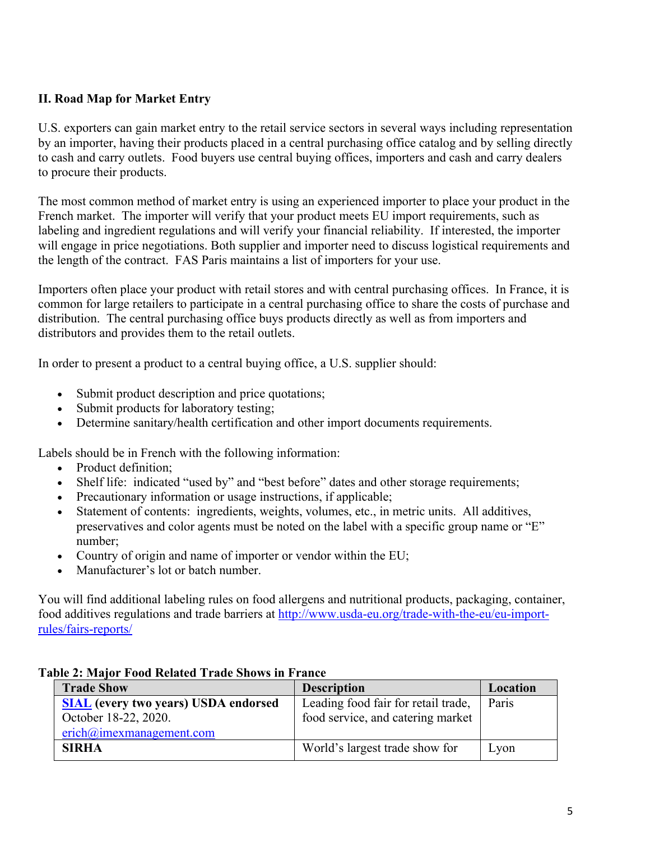## **II. Road Map for Market Entry**

U.S. exporters can gain market entry to the retail service sectors in several ways including representation by an importer, having their products placed in a central purchasing office catalog and by selling directly to cash and carry outlets. Food buyers use central buying offices, importers and cash and carry dealers to procure their products.

The most common method of market entry is using an experienced importer to place your product in the French market. The importer will verify that your product meets EU import requirements, such as labeling and ingredient regulations and will verify your financial reliability. If interested, the importer will engage in price negotiations. Both supplier and importer need to discuss logistical requirements and the length of the contract. FAS Paris maintains a list of importers for your use.

Importers often place your product with retail stores and with central purchasing offices. In France, it is common for large retailers to participate in a central purchasing office to share the costs of purchase and distribution. The central purchasing office buys products directly as well as from importers and distributors and provides them to the retail outlets.

In order to present a product to a central buying office, a U.S. supplier should:

- Submit product description and price quotations;
- Submit products for laboratory testing;
- Determine sanitary/health certification and other import documents requirements.

Labels should be in French with the following information:

- Product definition:
- Shelf life: indicated "used by" and "best before" dates and other storage requirements;
- Precautionary information or usage instructions, if applicable;
- Statement of contents: ingredients, weights, volumes, etc., in metric units. All additives, preservatives and color agents must be noted on the label with a specific group name or "E" number;
- Country of origin and name of importer or vendor within the EU;
- Manufacturer's lot or batch number.

You will find additional labeling rules on food allergens and nutritional products, packaging, container, food additives regulations and trade barriers at [http://www.usda-eu.org/trade-with-the-eu/eu-import](http://www.usda-eu.org/trade-with-the-eu/eu-import-rules/fairs-reports/)[rules/fairs-reports/](http://www.usda-eu.org/trade-with-the-eu/eu-import-rules/fairs-reports/)

| <b>Trade Show</b>                           | <b>Description</b>                  | Location |
|---------------------------------------------|-------------------------------------|----------|
| <b>SIAL</b> (every two years) USDA endorsed | Leading food fair for retail trade, | Paris    |
| October 18-22, 2020.                        | food service, and catering market   |          |
| erich@imexmanagement.com                    |                                     |          |
| <b>SIRHA</b>                                | World's largest trade show for      | Lyon     |

### **Table 2: Major Food Related Trade Shows in France**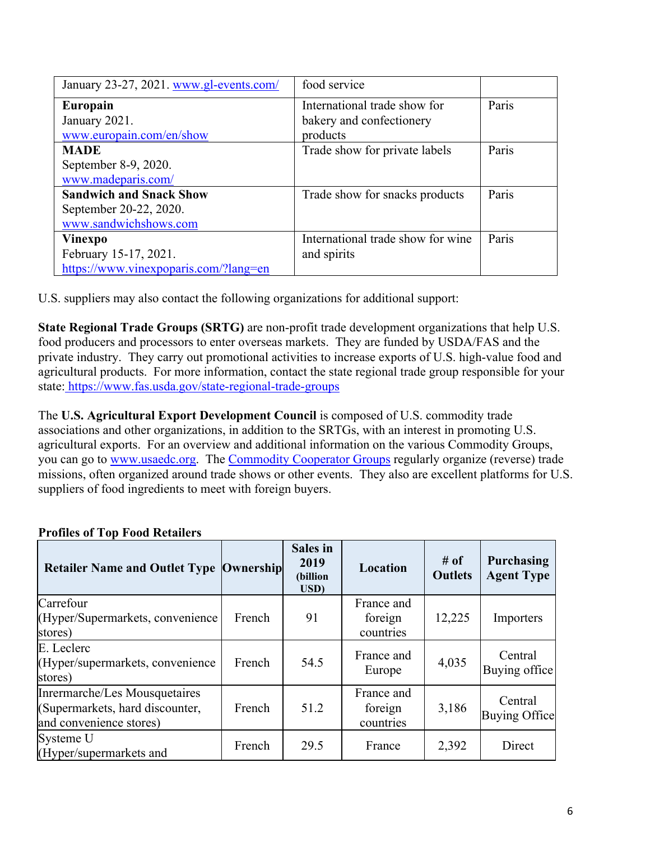| January 23-27, 2021. www.gl-events.com/ | food service                      |       |
|-----------------------------------------|-----------------------------------|-------|
| Europain                                | International trade show for      | Paris |
| January 2021.                           | bakery and confectionery          |       |
| www.europain.com/en/show                | products                          |       |
| <b>MADE</b>                             | Trade show for private labels     | Paris |
| September 8-9, 2020.                    |                                   |       |
| www.madeparis.com/                      |                                   |       |
| <b>Sandwich and Snack Show</b>          | Trade show for snacks products    | Paris |
| September 20-22, 2020.                  |                                   |       |
| www.sandwichshows.com                   |                                   |       |
| Vinexpo                                 | International trade show for wine | Paris |
| February 15-17, 2021.                   | and spirits                       |       |
| https://www.vinexpoparis.com/?lang=en   |                                   |       |

U.S. suppliers may also contact the following organizations for additional support:

**State Regional Trade Groups (SRTG)** are non-profit trade development organizations that help U.S. food producers and processors to enter overseas markets. They are funded by USDA/FAS and the private industry. They carry out promotional activities to increase exports of U.S. high-value food and agricultural products. For more information, contact the state regional trade group responsible for your state[: https://www.fas.usda.gov/state-regional-trade-groups](https://www.fas.usda.gov/programs/market-access-program-map/state-regional-trade-groups)

The **U.S. Agricultural Export Development Council** is composed of U.S. commodity trade associations and other organizations, in addition to the SRTGs, with an interest in promoting U.S. agricultural exports. For an overview and additional information on the various Commodity Groups, you can go to [www.usaedc.org.](http://www.usaedc.org/) The [Commodity Cooperator Groups](https://apps.fas.usda.gov/pcd/PartnersSearch.aspx) regularly organize (reverse) trade missions, often organized around trade shows or other events. They also are excellent platforms for U.S. suppliers of food ingredients to meet with foreign buyers.

| <b>Retailer Name and Outlet Type  Ownership </b>                                            |        | <b>Sales</b> in<br>2019<br>(billion<br>USD) | Location                           | # of<br><b>Outlets</b> | <b>Purchasing</b><br><b>Agent Type</b> |
|---------------------------------------------------------------------------------------------|--------|---------------------------------------------|------------------------------------|------------------------|----------------------------------------|
| Carrefour<br>(Hyper/Supermarkets, convenience<br>stores)                                    | French | 91                                          | France and<br>foreign<br>countries | 12,225                 | Importers                              |
| E. Leclerc<br>(Hyper/supermarkets, convenience<br>stores)                                   | French | 54.5                                        | France and<br>Europe               | 4,035                  | Central<br>Buying office               |
| Inrermarche/Les Mousquetaires<br>(Supermarkets, hard discounter,<br>and convenience stores) | French | 51.2                                        | France and<br>foreign<br>countries | 3,186                  | Central<br>Buying Office               |
| Systeme U<br>(Hyper/supermarkets and                                                        | French | 29.5                                        | France                             | 2,392                  | Direct                                 |

## **Profiles of Top Food Retailers**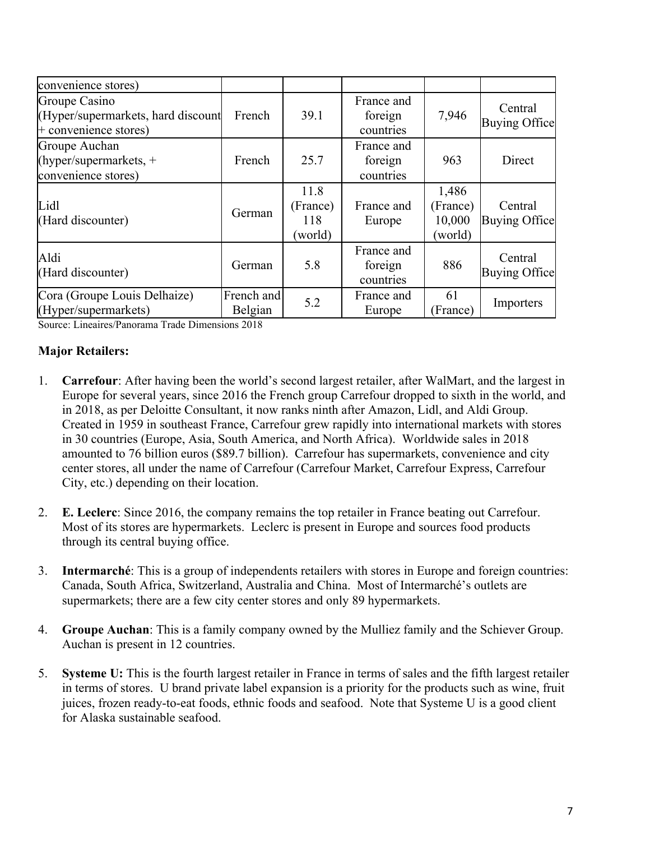| convenience stores)                                                            |                       |                                    |                                    |                                        |                          |
|--------------------------------------------------------------------------------|-----------------------|------------------------------------|------------------------------------|----------------------------------------|--------------------------|
| Groupe Casino<br>(Hyper/supermarkets, hard discount<br>$+$ convenience stores) | French                | 39.1                               | France and<br>foreign<br>countries | 7,946                                  | Central<br>Buying Office |
| Groupe Auchan<br>(hyper/supermarkets, $+$<br>convenience stores)               | French                | 25.7                               | France and<br>foreign<br>countries | 963                                    | Direct                   |
| Lidl<br>(Hard discounter)                                                      | German                | 11.8<br>(France)<br>118<br>(world) | France and<br>Europe               | 1,486<br>(France)<br>10,000<br>(world) | Central<br>Buying Office |
| Aldi<br>(Hard discounter)                                                      | German                | 5.8                                | France and<br>foreign<br>countries | 886                                    | Central<br>Buying Office |
| Cora (Groupe Louis Delhaize)<br>(Hyper/supermarkets)                           | French and<br>Belgian | 5.2                                | France and<br>Europe               | 61<br>(France)                         | Importers                |

Source: Lineaires/Panorama Trade Dimensions 2018

## **Major Retailers:**

- 1. **Carrefour**: After having been the world's second largest retailer, after WalMart, and the largest in Europe for several years, since 2016 the French group Carrefour dropped to sixth in the world, and in 2018, as per Deloitte Consultant, it now ranks ninth after Amazon, Lidl, and Aldi Group. Created in 1959 in southeast France, Carrefour grew rapidly into international markets with stores in 30 countries (Europe, Asia, South America, and North Africa). Worldwide sales in 2018 amounted to 76 billion euros (\$89.7 billion). Carrefour has supermarkets, convenience and city center stores, all under the name of Carrefour (Carrefour Market, Carrefour Express, Carrefour City, etc.) depending on their location.
- 2. **E. Leclerc**: Since 2016, the company remains the top retailer in France beating out Carrefour. Most of its stores are hypermarkets. Leclerc is present in Europe and sources food products through its central buying office.
- 3. **Intermarché**: This is a group of independents retailers with stores in Europe and foreign countries: Canada, South Africa, Switzerland, Australia and China. Most of Intermarché's outlets are supermarkets; there are a few city center stores and only 89 hypermarkets.
- 4. **Groupe Auchan**: This is a family company owned by the Mulliez family and the Schiever Group. Auchan is present in 12 countries.
- 5. **Systeme U:** This is the fourth largest retailer in France in terms of sales and the fifth largest retailer in terms of stores. U brand private label expansion is a priority for the products such as wine, fruit juices, frozen ready-to-eat foods, ethnic foods and seafood. Note that Systeme U is a good client for Alaska sustainable seafood.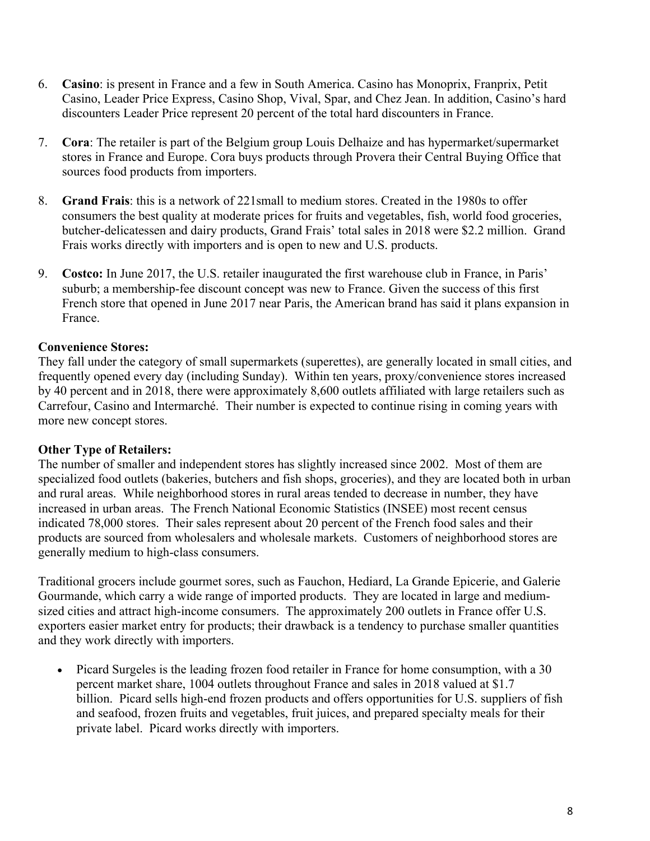- 6. **Casino**: is present in France and a few in South America. Casino has Monoprix, Franprix, Petit Casino, Leader Price Express, Casino Shop, Vival, Spar, and Chez Jean. In addition, Casino's hard discounters Leader Price represent 20 percent of the total hard discounters in France.
- 7. **Cora**: The retailer is part of the Belgium group Louis Delhaize and has hypermarket/supermarket stores in France and Europe. Cora buys products through Provera their Central Buying Office that sources food products from importers.
- 8. **Grand Frais**: this is a network of 221small to medium stores. Created in the 1980s to offer consumers the best quality at moderate prices for fruits and vegetables, fish, world food groceries, butcher-delicatessen and dairy products, Grand Frais' total sales in 2018 were \$2.2 million. Grand Frais works directly with importers and is open to new and U.S. products.
- 9. **Costco:** In June 2017, the U.S. retailer inaugurated the first warehouse club in France, in Paris' suburb; a membership-fee discount concept was new to France. Given the success of this first French store that opened in June 2017 near Paris, the American brand has said it plans expansion in France.

## **Convenience Stores:**

They fall under the category of small supermarkets (superettes), are generally located in small cities, and frequently opened every day (including Sunday). Within ten years, proxy/convenience stores increased by 40 percent and in 2018, there were approximately 8,600 outlets affiliated with large retailers such as Carrefour, Casino and Intermarché. Their number is expected to continue rising in coming years with more new concept stores.

### **Other Type of Retailers:**

The number of smaller and independent stores has slightly increased since 2002. Most of them are specialized food outlets (bakeries, butchers and fish shops, groceries), and they are located both in urban and rural areas. While neighborhood stores in rural areas tended to decrease in number, they have increased in urban areas. The French National Economic Statistics (INSEE) most recent census indicated 78,000 stores. Their sales represent about 20 percent of the French food sales and their products are sourced from wholesalers and wholesale markets. Customers of neighborhood stores are generally medium to high-class consumers.

Traditional grocers include gourmet sores, such as Fauchon, Hediard, La Grande Epicerie, and Galerie Gourmande, which carry a wide range of imported products. They are located in large and mediumsized cities and attract high-income consumers. The approximately 200 outlets in France offer U.S. exporters easier market entry for products; their drawback is a tendency to purchase smaller quantities and they work directly with importers.

 Picard Surgeles is the leading frozen food retailer in France for home consumption, with a 30 percent market share, 1004 outlets throughout France and sales in 2018 valued at \$1.7 billion. Picard sells high-end frozen products and offers opportunities for U.S. suppliers of fish and seafood, frozen fruits and vegetables, fruit juices, and prepared specialty meals for their private label. Picard works directly with importers.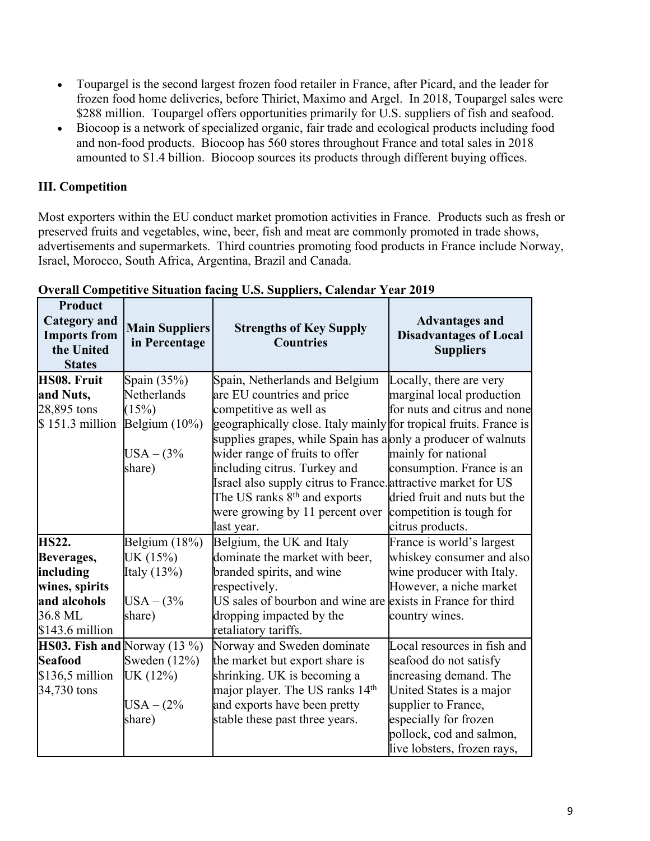- Toupargel is the second largest frozen food retailer in France, after Picard, and the leader for frozen food home deliveries, before Thiriet, Maximo and Argel. In 2018, Toupargel sales were \$288 million. Toupargel offers opportunities primarily for U.S. suppliers of fish and seafood.
- Biocoop is a network of specialized organic, fair trade and ecological products including food and non-food products. Biocoop has 560 stores throughout France and total sales in 2018 amounted to \$1.4 billion. Biocoop sources its products through different buying offices.

## **III. Competition**

Most exporters within the EU conduct market promotion activities in France. Products such as fresh or preserved fruits and vegetables, wine, beer, fish and meat are commonly promoted in trade shows, advertisements and supermarkets. Third countries promoting food products in France include Norway, Israel, Morocco, South Africa, Argentina, Brazil and Canada.

| <b>Product</b><br><b>Category</b> and<br><b>Imports from</b><br>the United<br><b>States</b> | <b>Main Suppliers</b><br>in Percentage | <b>Strengths of Key Supply</b><br><b>Countries</b>                                                                                 | <b>Advantages and</b><br><b>Disadvantages of Local</b><br><b>Suppliers</b> |
|---------------------------------------------------------------------------------------------|----------------------------------------|------------------------------------------------------------------------------------------------------------------------------------|----------------------------------------------------------------------------|
| <b>HS08. Fruit</b>                                                                          | Spain (35%)                            | Spain, Netherlands and Belgium                                                                                                     | Locally, there are very                                                    |
| and Nuts,                                                                                   | Netherlands                            | are EU countries and price                                                                                                         | marginal local production                                                  |
| 28,895 tons                                                                                 | (15%)                                  | competitive as well as                                                                                                             | for nuts and citrus and none                                               |
| $$151.3$ million                                                                            | Belgium $(10\%)$                       | geographically close. Italy mainly for tropical fruits. France is<br>supplies grapes, while Spain has a only a producer of walnuts |                                                                            |
|                                                                                             | $USA - (3%$                            | wider range of fruits to offer                                                                                                     | mainly for national                                                        |
|                                                                                             | share)                                 | including citrus. Turkey and                                                                                                       | consumption. France is an                                                  |
|                                                                                             |                                        | Israel also supply citrus to France. attractive market for US                                                                      |                                                                            |
|                                                                                             |                                        | The US ranks 8 <sup>th</sup> and exports                                                                                           | dried fruit and nuts but the                                               |
|                                                                                             |                                        | were growing by 11 percent over                                                                                                    | competition is tough for                                                   |
|                                                                                             |                                        | last year.                                                                                                                         | citrus products.                                                           |
| <b>HS22.</b>                                                                                | Belgium $(18%)$                        | Belgium, the UK and Italy                                                                                                          | France is world's largest                                                  |
| <b>Beverages,</b>                                                                           | UK (15%)                               | dominate the market with beer,                                                                                                     | whiskey consumer and also                                                  |
| including                                                                                   | Italy $(13%)$                          | branded spirits, and wine                                                                                                          | wine producer with Italy.                                                  |
| wines, spirits                                                                              |                                        | However, a niche market<br>respectively.                                                                                           |                                                                            |
| and alcohols                                                                                | $USA - (3%$                            | US sales of bourbon and wine are                                                                                                   | exists in France for third                                                 |
| 36.8 ML                                                                                     | share)                                 | dropping impacted by the                                                                                                           | country wines.                                                             |
| $$143.6$ million                                                                            |                                        | retaliatory tariffs.                                                                                                               |                                                                            |
| HS03. Fish and Norway $(13\%)$                                                              |                                        | Norway and Sweden dominate                                                                                                         | Local resources in fish and                                                |
| <b>Seafood</b>                                                                              | Sweden $(12\%)$                        | the market but export share is                                                                                                     | seafood do not satisfy                                                     |
| $$136,5$ million                                                                            | UK (12%)                               | shrinking. UK is becoming a                                                                                                        | increasing demand. The                                                     |
| 34,730 tons                                                                                 |                                        | major player. The US ranks 14th                                                                                                    | United States is a major                                                   |
|                                                                                             | $USA - (2\%$                           | and exports have been pretty                                                                                                       | supplier to France,                                                        |
|                                                                                             | share)                                 | stable these past three years.                                                                                                     | especially for frozen                                                      |
|                                                                                             |                                        |                                                                                                                                    | pollock, cod and salmon,                                                   |
|                                                                                             |                                        |                                                                                                                                    | live lobsters, frozen rays,                                                |

### **Overall Competitive Situation facing U.S. Suppliers, Calendar Year 2019**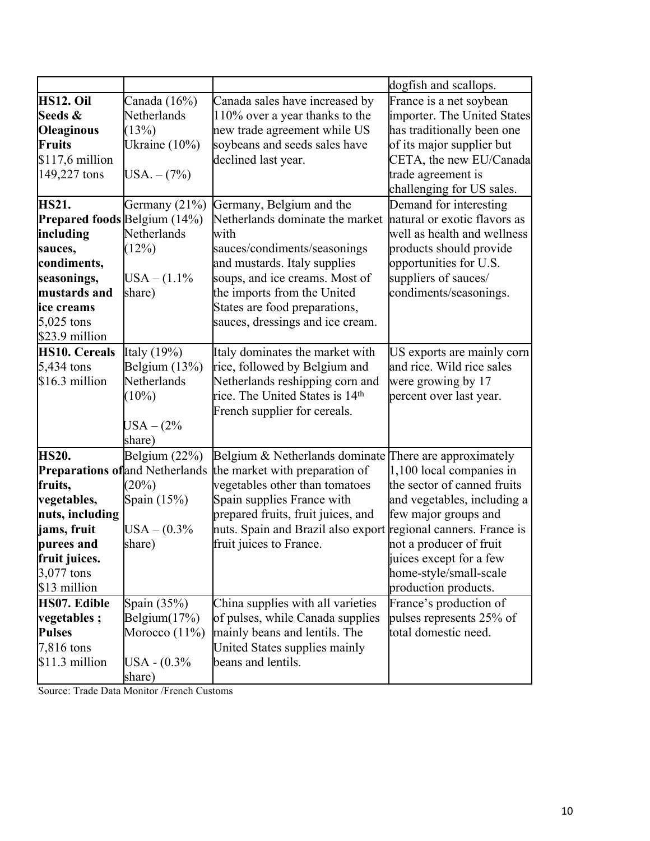| France is a net soybean<br>importer. The United States                                               |
|------------------------------------------------------------------------------------------------------|
|                                                                                                      |
|                                                                                                      |
|                                                                                                      |
| has traditionally been one                                                                           |
| of its major supplier but                                                                            |
| CETA, the new EU/Canada                                                                              |
|                                                                                                      |
| challenging for US sales.                                                                            |
|                                                                                                      |
| natural or exotic flavors as                                                                         |
| well as health and wellness                                                                          |
| products should provide                                                                              |
|                                                                                                      |
|                                                                                                      |
|                                                                                                      |
|                                                                                                      |
|                                                                                                      |
|                                                                                                      |
| US exports are mainly corn                                                                           |
| and rice. Wild rice sales                                                                            |
|                                                                                                      |
|                                                                                                      |
|                                                                                                      |
|                                                                                                      |
|                                                                                                      |
| There are approximately                                                                              |
| 1,100 local companies in                                                                             |
| the sector of canned fruits                                                                          |
| and vegetables, including a                                                                          |
|                                                                                                      |
| nuts. Spain and Brazil also export regional canners. France is                                       |
|                                                                                                      |
|                                                                                                      |
|                                                                                                      |
|                                                                                                      |
|                                                                                                      |
| pulses represents 25% of                                                                             |
|                                                                                                      |
|                                                                                                      |
|                                                                                                      |
|                                                                                                      |
| Demand for interesting<br>condiments/seasonings.<br>home-style/small-scale<br>France's production of |

Source: Trade Data Monitor /French Customs